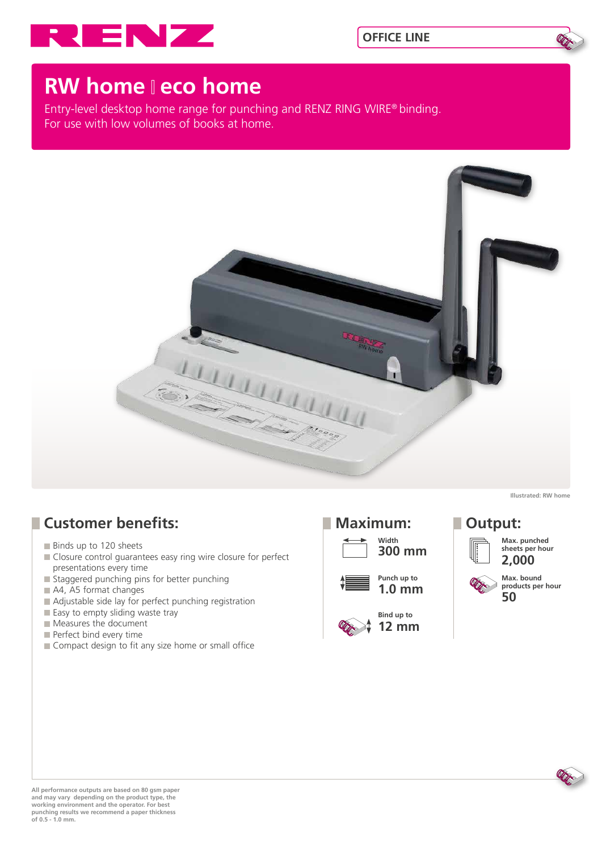



# **RW home leco home**

Entry-level desktop home range for punching and RENZ RING WIRE® binding. For use with low volumes of books at home.



## **Customer benefits:**

- Binds up to 120 sheets
- Closure control guarantees easy ring wire closure for perfect presentations every time
- Staggered punching pins for better punching
- A4, A5 format changes
- Adjustable side lay for perfect punching registration
- $\blacksquare$  Easy to empty sliding waste tray
- Measures the document
- Perfect bind every time
- Compact design to fit any size home or small office



**Illustrated: RW home**